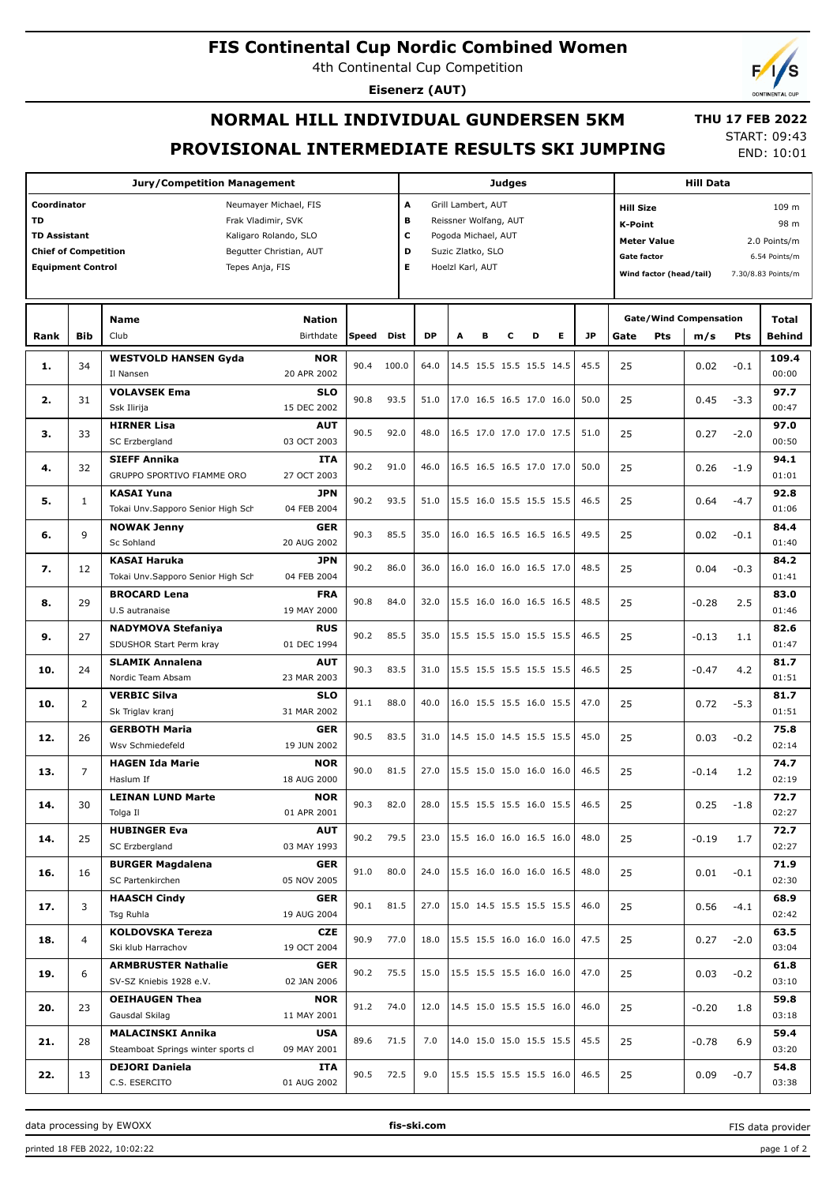### **FIS Continental Cup Nordic Combined Women**

4th Continental Cup Competition

**Eisenerz (AUT)**

# **NORMAL HILL INDIVIDUAL GUNDERSEN 5KM PROVISIONAL INTERMEDIATE RESULTS SKI JUMPING**

 **THU 17 FEB 2022** START: 09:43 END: 10:01

**Jury/Competition Management Coordinator** Neumayer Michael, FIS **TD** Frak Vladimir, SVK **TD Assistant** Kaligaro Rolando, SLO **Chief of Competition** Begutter Christian, AUT **Equipment Control** Tepes Anja, FIS **Judges A** Grill Lambert, AUT **B** Reissner Wolfang, AUT **C** Pogoda Michael, AUT **D** Suzic Zlatko, SLO **E** Hoelzl Karl, AUT **Hill Data K-Point** 98 m **Hill Size** 109 m **Meter Value** 2.0 Points/m **Gate factor** 6.54 Points/m **Wind factor (head/tail)** 7.30/8.83 Points/m **Bib Name** Club Birthdate **Nation Rank Speed Dist DP A B C D E JP Total m/s Pts Gate/Wind Compensation** Gate Pts m/s Pts Behind **WESTVOLD HANSEN Gyda** Il Nansen **NOR** 20 APR 2002 34 90.4 100.0 64.0 14.5 15.5 15.5 15.5 14.5 45.5 **1.** 25 0.02 -0.1 **109.4**  $0<sub>0</sub>$ **VOLAVSEK Ema** Ssk Ilirija **SLO** 15 DEC 2002 31 90.8 93.5 51.0 17.0 16.5 16.5 17.0 16.0 50.0 **2.** 25 0.45 -3.3 **97.7** 00:47 **HIRNER Lisa** SC Erzbergland **AUT** 03 OCT 2003 33 90.5 92.0 48.0 16.5 17.0 17.0 17.0 17.5 51.0 **3.** 25 0.27 -2.0 **97.0** 00:50 **SIEFF Annika** GRUPPO SPORTIVO FIAMME ORO **ITA** 27 OCT 2003 **4.** | 32 | محمد محمد محمد محمد محمد البحر المحمد المحمد المحمد المحمد المحمد محمد محمد المحمد المحمد المحمد المحمد المحمد المحمد المحمد المحمد المحمد المحمد المحمد المحمد المحمد المحمد المحمد المحمد المحمد المحمد المحمد ا **94.1**  $01:01$ **KASAI Yuna** Tokai Unv.Sapporo Senior High Sch **JPN** 04 FEB 2004 1 90.2 93.5 51.0 15.5 16.0 15.5 15.5 15.5 46.5 **5.** 25 0.64 -4.7 **92.8** 01:06 **NOWAK Jenny** Sc Sohland **GER** 20 AUG 2002 9 90.3 85.5 35.0 16.0 16.5 16.5 16.5 16.5 49.5 **6.** 25 0.02 -0.1 **84.4**  $01:40$ **KASAI Haruka** Tokai Unv.Sapporo Senior High Sch **JPN** 04 FEB 2004 12 90.2 86.0 36.0 16.0 16.0 16.0 16.5 17.0 48.5 **7.** 25 0.04 -0.3 **84.2** 01:41 **BROCARD Lena** U.S autranaise **FRA** 19 MAY 2000 29 **EXOCARD Lena** (190.8 84.0 32.0 15.5 16.0 16.0 16.5 16.5 48.5 48.5 **83.0 8.**  $\begin{bmatrix} 29 \end{bmatrix}$  .  $\begin{bmatrix} 25 \end{bmatrix}$  .  $\begin{bmatrix} 0.28 \end{bmatrix}$  .  $\begin{bmatrix} 2.5 \end{bmatrix}$  .  $\begin{bmatrix} 32.0 \end{bmatrix}$  15.5 16.0 16.0 16.5 16.5  $\begin{bmatrix} 48.5 \end{bmatrix}$  .  $\begin{bmatrix} 25 \end{bmatrix}$  .  $\begin{bmatrix} -0.28 \end{bmatrix}$  .  $\begin{bmatrix} 2.5 \end{bmatrix}$  $01:46$ **NADYMOVA Stefaniya** SDUSHOR Start Perm kray **RUS** 01 DEC 1994 27 90.2 85.5 35.0 15.5 15.5 15.0 15.5 15.5 46.5 **9.** 25 -0.13 1.1 **82.6**  $01:47$ **SLAMIK Annalena** Nordic Team Absam **AUT** 23 MAR 2003 24 **52A PLAT Annalena** 24 **1** 90.3 83.5 31.0 15.5 15.5 15.5 15.5 15.5 46.5 **81.7 10.** 25 -0.47 4.2 01:51 **VERBIC Silva** Sk Triglav kranj **SLO** 31 MAR 2002 2 91.1 88.0 40.0 16.0 15.5 15.5 16.0 15.5 47.0 **10.** 25 0.72 -5.3 **81.7** 01:51 **GERBOTH Maria** Wsv Schmiedefeld **GER** 19 JUN 2002 26 90.5 83.5 31.0 14.5 15.0 14.5 15.5 15.5 45.0 **12.** 25 0.03 -0.2 **75.8** 02:14 **HAGEN Ida Marie** Haslum If **NOR** 18 AUG 2000 7 90.0 81.5 27.0 15.5 15.0 15.0 16.0 16.0 46.5 **13.** 25 -0.14 1.2 **74.7** 02:19 **LEINAN LUND Marte** Tolga Il **NOR** 01 APR 2001 30 90.3 82.0 28.0 15.5 15.5 15.5 16.0 15.5 46.5 **14.** 25 0.25 -1.8 **72.7** 02:27 **HUBINGER Eva** SC Erzbergland **AUT** 03 MAY 1993 **14.**  $\begin{bmatrix} 25 \end{bmatrix}$   $\begin{bmatrix} 25 \end{bmatrix}$   $\begin{bmatrix} 25 \end{bmatrix}$   $\begin{bmatrix} 23.0 \end{bmatrix}$   $\begin{bmatrix} 15.5 \end{bmatrix}$   $\begin{bmatrix} 16.0 \end{bmatrix}$   $\begin{bmatrix} 48.0 \end{bmatrix}$   $\begin{bmatrix} 25 \end{bmatrix}$   $\begin{bmatrix} -0.19 \end{bmatrix}$   $\begin{bmatrix} 1.7 \end{bmatrix}$ **72.7** 02:27 **BURGER Magdalena** SC Partenkirchen **GER** 05 NOV 2005 16 91.0 80.0 24.0 15.5 16.0 16.0 16.0 16.5 48.0 **16.** 25 0.01 -0.1 **71.9** 02:30 **HAASCH Cindy** Tsg Ruhla **GER** 19 AUG 2004  $\frac{3}{2}$  **HAASCH CINGY SER**  $\begin{bmatrix} 90.1 & 81.5 & 27.0 & 15.0 & 14.5 & 15.5 & 15.5 & 15.5 \end{bmatrix}$  46.0 **68.9 17.** 25 0.56 -4.1  $02.42$ **KOLDOVSKA Tereza** Ski klub Harrachov **CZE** 19 OCT 2004 4 90.9 77.0 18.0 15.5 15.5 16.0 16.0 16.0 47.5 **18.** 25 0.27 -2.0 **63.5** 03:04 **ARMBRUSTER Nathalie** SV-SZ Kniebis 1928 e.V. **GER** 02 JAN 2006 6 90.2 75.5 15.0 15.5 15.5 15.5 16.0 16.0 47.0 **19.** 25 0.03 -0.2 **61.8** 03:10 **OEIHAUGEN Thea** Gausdal Skilag **NOR** 11 MAY 2001 23 91.2 74.0 12.0 14.5 15.0 15.5 15.5 16.0 46.0 **20.** 25 -0.20 1.8 **59.8** 03:18 **MALACINSKI Annika** Steamboat Springs winter sports cl **USA** 09 MAY 2001 28 89.6 71.5 7.0 14.0 15.0 15.0 15.5 15.5 45.5 **21.** 25 -0.78 6.9 **59.4** 03:20 **DEJORI Daniela** C.S. ESERCITO **ITA** 01 AUG 2002 13 90.5 72.5 9.0 15.5 15.5 15.5 15.5 16.0 46.5 **22.** 25 0.09 -0.7 **54.8** 03:38

data processing by EWOXX **fis-ski.com**

FIS data provider